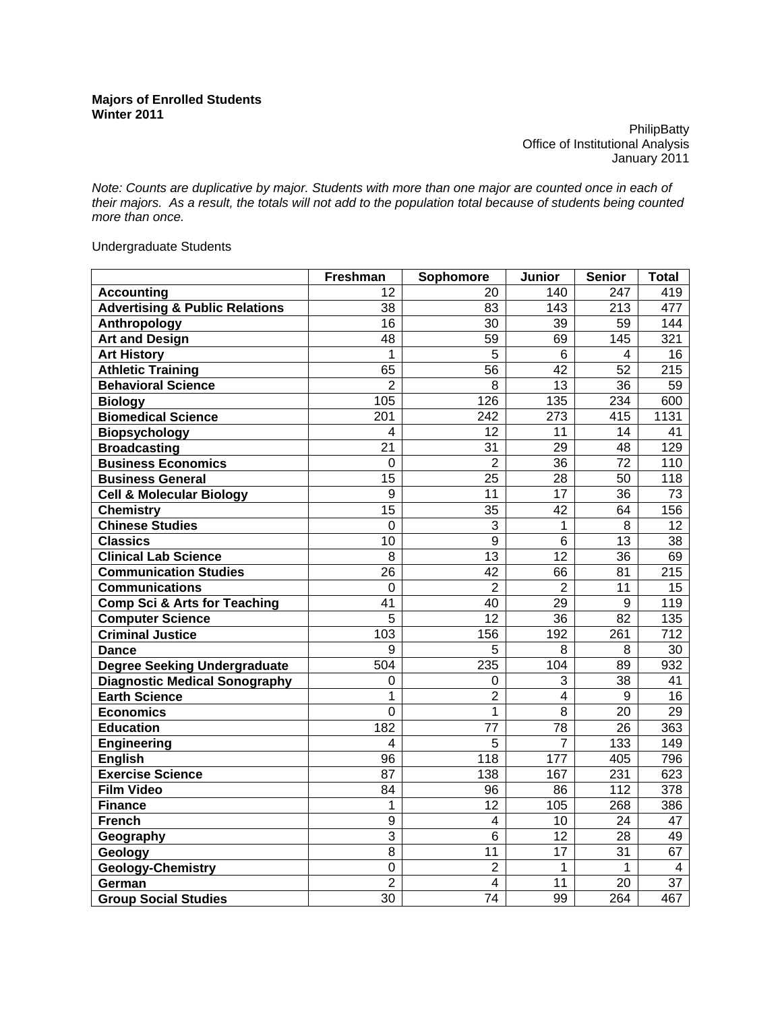**PhilipBatty** Office of Institutional Analysis January 2011

*Note: Counts are duplicative by major. Students with more than one major are counted once in each of their majors. As a result, the totals will not add to the population total because of students being counted more than once.* 

Undergraduate Students

|                                           | Freshman        | Sophomore       | Junior            | <b>Senior</b>    | <b>Total</b>            |
|-------------------------------------------|-----------------|-----------------|-------------------|------------------|-------------------------|
| <b>Accounting</b>                         | 12              | 20              | 140               | 247              | 419                     |
| <b>Advertising &amp; Public Relations</b> | 38              | 83              | $\overline{1}$ 43 | 213              | 477                     |
| Anthropology                              | 16              | 30              | 39                | 59               | 144                     |
| <b>Art and Design</b>                     | $\overline{48}$ | $\overline{59}$ | 69                | 145              | $\overline{321}$        |
| <b>Art History</b>                        | $\mathbf 1$     | $\overline{5}$  | 6                 | 4                | 16                      |
| <b>Athletic Training</b>                  | 65              | $\overline{56}$ | 42                | $\overline{52}$  | 215                     |
| <b>Behavioral Science</b>                 | $\overline{2}$  | 8               | 13                | 36               | 59                      |
| <b>Biology</b>                            | 105             | 126             | 135               | 234              | 600                     |
| <b>Biomedical Science</b>                 | 201             | 242             | 273               | 415              | 1131                    |
| <b>Biopsychology</b>                      | 4               | 12              | 11                | 14               | 41                      |
| <b>Broadcasting</b>                       | $\overline{21}$ | $\overline{31}$ | $\overline{29}$   | $\overline{48}$  | 129                     |
| <b>Business Economics</b>                 | 0               | $\overline{2}$  | $\overline{36}$   | $\overline{72}$  | 110                     |
| <b>Business General</b>                   | $\overline{15}$ | $\overline{25}$ | $\overline{28}$   | $\overline{50}$  | 118                     |
| <b>Cell &amp; Molecular Biology</b>       | 9               | 11              | 17                | 36               | 73                      |
| <b>Chemistry</b>                          | $\overline{15}$ | $\overline{35}$ | $\overline{42}$   | 64               | 156                     |
| <b>Chinese Studies</b>                    | $\pmb{0}$       | $\overline{3}$  | 1                 | 8                | 12                      |
| <b>Classics</b>                           | 10              | $\overline{9}$  | $\overline{6}$    | $\overline{13}$  | 38                      |
| <b>Clinical Lab Science</b>               | 8               | 13              | 12                | 36               | 69                      |
| <b>Communication Studies</b>              | $\overline{26}$ | $\overline{42}$ | 66                | $\overline{81}$  | $\overline{215}$        |
| <b>Communications</b>                     | 0               | $\overline{2}$  | $\overline{2}$    | 11               | 15                      |
| Comp Sci & Arts for Teaching              | 41              | 40              | 29                | 9                | 119                     |
| <b>Computer Science</b>                   | 5               | $\overline{12}$ | 36                | 82               | 135                     |
| <b>Criminal Justice</b>                   | 103             | 156             | 192               | 261              | 712                     |
| <b>Dance</b>                              | 9               | 5               | 8                 | 8                | 30                      |
| <b>Degree Seeking Undergraduate</b>       | 504             | 235             | $\overline{104}$  | 89               | $\overline{932}$        |
| <b>Diagnostic Medical Sonography</b>      | 0               | 0               | 3                 | 38               | 41                      |
| <b>Earth Science</b>                      | 1               | $\overline{2}$  | $\overline{4}$    | 9                | 16                      |
| <b>Economics</b>                          | $\overline{0}$  | $\overline{1}$  | $\overline{8}$    | 20               | 29                      |
| <b>Education</b>                          | 182             | $\overline{77}$ | $\overline{78}$   | $\overline{26}$  | 363                     |
| <b>Engineering</b>                        | 4               | 5               | $\overline{7}$    | 133              | 149                     |
| <b>English</b>                            | 96              | 118             | 177               | 405              | 796                     |
| <b>Exercise Science</b>                   | 87              | 138             | 167               | 231              | 623                     |
| <b>Film Video</b>                         | $\overline{84}$ | $\overline{96}$ | 86                | $\overline{112}$ | 378                     |
| <b>Finance</b>                            | 1               | 12              | 105               | 268              | 386                     |
| <b>French</b>                             | $\overline{9}$  | $\overline{4}$  | 10                | 24               | 47                      |
| Geography                                 | 3               | 6               | $\overline{12}$   | $\overline{28}$  | 49                      |
| Geology                                   | 8               | 11              | 17                | 31               | 67                      |
| <b>Geology-Chemistry</b>                  | $\mathbf 0$     | $\overline{2}$  | 1                 | 1                | $\overline{\mathbf{4}}$ |
| German                                    | $\overline{2}$  | $\overline{4}$  | 11                | 20               | 37                      |
| <b>Group Social Studies</b>               | $\overline{30}$ | $\overline{74}$ | 99                | 264              | 467                     |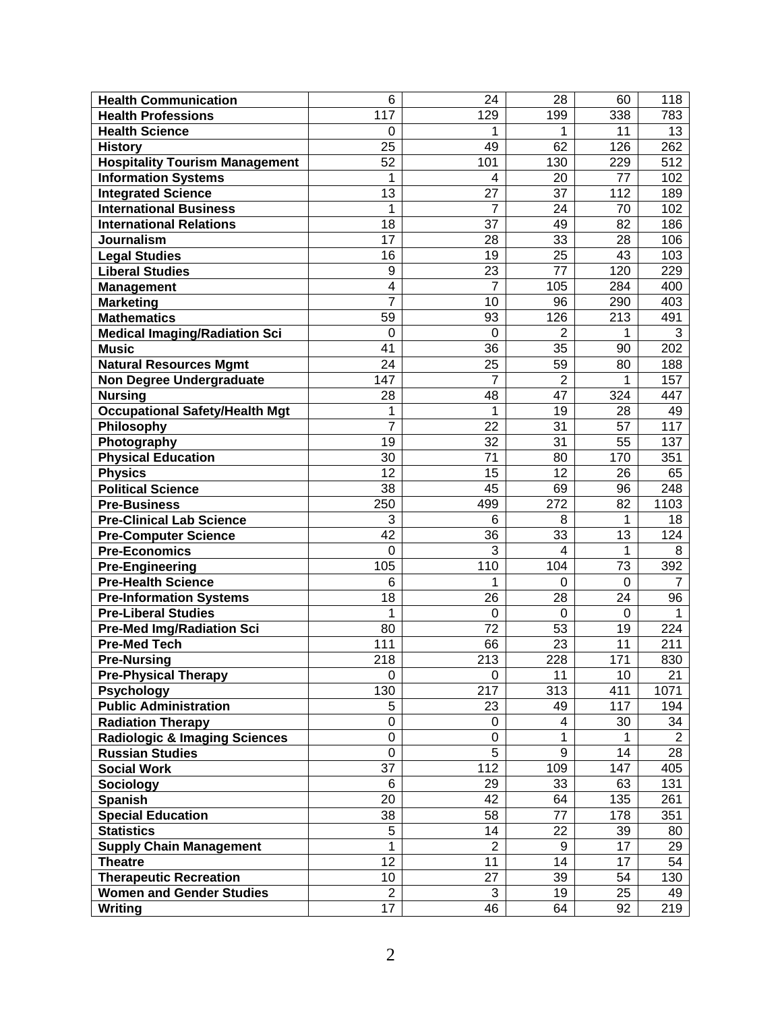| <b>Health Communication</b>              | 6               | 24              | 28                      | 60              | 118            |
|------------------------------------------|-----------------|-----------------|-------------------------|-----------------|----------------|
| <b>Health Professions</b>                | 117             | 129             | 199                     | 338             | 783            |
| <b>Health Science</b>                    | 0               | 1               | 1                       | 11              | 13             |
| <b>History</b>                           | 25              | 49              | 62                      | 126             | 262            |
| <b>Hospitality Tourism Management</b>    | 52              | 101             | 130                     | 229             | 512            |
| <b>Information Systems</b>               | 1               | 4               | 20                      | 77              | 102            |
| <b>Integrated Science</b>                | 13              | 27              | 37                      | 112             | 189            |
| <b>International Business</b>            | 1               | 7               | 24                      | 70              | 102            |
| <b>International Relations</b>           | 18              | 37              | 49                      | 82              | 186            |
| <b>Journalism</b>                        | 17              | 28              | 33                      | 28              | 106            |
| <b>Legal Studies</b>                     | 16              | 19              | 25                      | 43              | 103            |
| <b>Liberal Studies</b>                   | 9               | 23              | 77                      | 120             | 229            |
| <b>Management</b>                        | 4               | 7               | 105                     | 284             | 400            |
| <b>Marketing</b>                         | 7               | 10              | 96                      | 290             | 403            |
| <b>Mathematics</b>                       | 59              | 93              | 126                     | 213             | 491            |
| <b>Medical Imaging/Radiation Sci</b>     | 0               | 0               | $\overline{2}$          | 1               | 3              |
| <b>Music</b>                             | 41              | 36              | 35                      | 90              | 202            |
| <b>Natural Resources Mgmt</b>            | 24              | 25              | 59                      | 80              | 188            |
| <b>Non Degree Undergraduate</b>          | 147             | 7               | $\overline{2}$          | 1               | 157            |
| <b>Nursing</b>                           | 28              | 48              | 47                      | 324             | 447            |
| <b>Occupational Safety/Health Mgt</b>    | 1               | 1               | 19                      | 28              | 49             |
| Philosophy                               | $\overline{7}$  | 22              | 31                      | $\overline{57}$ | 117            |
| Photography                              | 19              | 32              | 31                      | 55              | 137            |
| <b>Physical Education</b>                | 30              | 71              | 80                      | 170             | 351            |
| <b>Physics</b>                           | 12              | 15              | 12                      | 26              | 65             |
| <b>Political Science</b>                 | $\overline{38}$ | $\overline{45}$ | 69                      | 96              | 248            |
| Pre-Business                             | 250             | 499             | 272                     | 82              | 1103           |
| <b>Pre-Clinical Lab Science</b>          | 3               | 6               | 8                       | 1               | 18             |
| <b>Pre-Computer Science</b>              | 42              | 36              | 33                      | 13              | 124            |
| <b>Pre-Economics</b>                     | $\mathbf 0$     | 3               | $\overline{\mathbf{4}}$ | 1               | 8              |
| <b>Pre-Engineering</b>                   | 105             | 110             | 104                     | 73              | 392            |
| <b>Pre-Health Science</b>                | 6               | 1               | $\Omega$                | 0               | 7              |
| <b>Pre-Information Systems</b>           | $\overline{18}$ | 26              | 28                      | 24              | 96             |
| <b>Pre-Liberal Studies</b>               | 1               | $\mathbf 0$     | 0                       | 0               | 1              |
| <b>Pre-Med Img/Radiation Sci</b>         | 80              | 72              | 53                      | 19              | 224            |
| <b>Pre-Med Tech</b>                      | 111             | 66              | 23                      | 11              | 211            |
| <b>Pre-Nursing</b>                       | 218             | 213             | 228                     | 171             | 830            |
| <b>Pre-Physical Therapy</b>              | 0               | 0               | 11                      | 10              | 21             |
| <b>Psychology</b>                        | 130             | 217             | 313                     | 411             | 1071           |
| <b>Public Administration</b>             | 5               | 23              | 49                      | 117             | 194            |
| <b>Radiation Therapy</b>                 | 0               | 0               | 4                       | 30              | 34             |
| <b>Radiologic &amp; Imaging Sciences</b> | 0               | 0               | 1                       | 1               | $\overline{2}$ |
| <b>Russian Studies</b>                   | $\mathbf 0$     | 5               | 9                       | 14              | 28             |
| <b>Social Work</b>                       | 37              | 112             | 109                     | 147             | 405            |
| <b>Sociology</b>                         | 6               | 29              | 33                      | 63              | 131            |
| <b>Spanish</b>                           | 20              | 42              | 64                      | 135             | 261            |
| <b>Special Education</b>                 | 38              | 58              | 77                      | 178             | 351            |
| <b>Statistics</b>                        | 5               | 14              | 22                      | 39              | 80             |
| <b>Supply Chain Management</b>           | 1               | $\overline{2}$  | 9                       | 17              | 29             |
| <b>Theatre</b>                           | 12              | 11              | 14                      | 17              | 54             |
| <b>Therapeutic Recreation</b>            | 10              | 27              | 39                      | 54              | 130            |
| <b>Women and Gender Studies</b>          | $\overline{2}$  | 3               | 19                      | 25              | 49             |
| Writing                                  | 17              | 46              | 64                      | 92              | 219            |